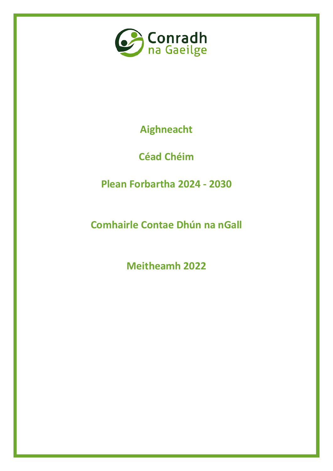

**Aighneacht**

**Céad Chéim**

**Plean Forbartha 2024 - 2030**

**Comhairle Contae Dhún na nGall**

**Meitheamh 2022**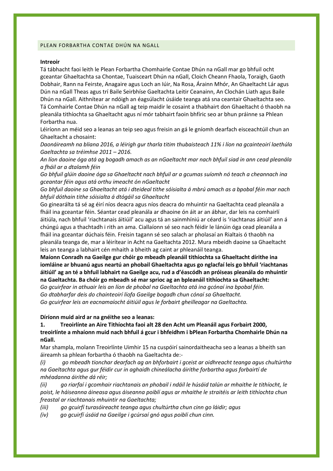#### PLEAN FORBARTHA CONTAE DHÚN NA NGALL

#### **Intreoir**

Tá tábhacht faoi leith le Plean Forbartha Chomhairle Contae Dhún na nGall mar go bhfuil ocht gceantar Ghaeltachta sa Chontae, Tuaisceart Dhún na nGall, Cloich Cheann Fhaola, Toraigh, Gaoth Dobhair, Rann na Feirste, Anagaire agus Loch an Iúir, Na Rosa, Árainn Mhór, An Ghaeltacht Lár agus Dún na nGall Theas agus trí Baile Seirbhíse Gaeltachta Leitir Ceanainn, An Clochán Liath agus Baile Dhún na nGall. Aithnítear ar ndóigh an éagsúlacht úsáide teanga atá sna ceantair Ghaeltachta seo. Tá Comhairle Contae Dhún na nGall ag teip maidir le cosaint a thabhairt don Ghaeltacht ó thaobh na pleanála tithíochta sa Ghaeltacht agus ní mór tabhairt faoin bhfíric seo ar bhun práinne sa Phlean Forbartha nua.

Léiríonn an méid seo a leanas an teip seo agus freisin an gá le gníomh dearfach eisceachtúil chun an Ghaeltacht a chosaint:

*Daonáireamh na bliana 2016, a léirigh gur tharla titim thubaisteach 11% i líon na gcainteoirí laethúla Gaeltachta sa tréimhse 2011 – 2016.*

*An líon daoine óga atá ag bogadh amach as an nGaeltacht mar nach bhfuil siad in ann cead pleanála a fháil ar a dtalamh féin*

*Go bhfuil glúin daoine óga sa Ghaeltacht nach bhfuil ar a gcumas suíomh nó teach a cheannach ina gceantar féin agus atá orthu imeacht ón nGaeltacht*

*Go bhfuil daoine sa Ghaeltacht atá i dteideal tithe sóisialta á mbrú amach as a bpobal féin mar nach bhfuil dóthain tithe sóisialta á dtógáil sa Ghaeltacht*

Go ginearálta tá sé ag éirí níos deacra agus níos deacra do mhuintir na Gaeltachta cead pleanála a fháil ina gceantar féin. Séantar cead pleanála ar dhaoine ón áit ar an ábhar, dar leis na comhairlí áitiúla, nach bhfuil 'riachtanais áitiúil' acu agus tá an sainmhíniú ar céard is 'riachtanas áitiúil' ann á chúngú agus a thachtadh i rith an ama. Ciallaíonn sé seo nach féidir le lánúin óga cead pleanála a fháil ina gceantar dúchais féin. Freisin tagann sé seo salach ar pholasaí an Rialtais ó thaobh na pleanála teanga de, mar a léirítear in Acht na Gaeltachta 2012. Mura mbeidh daoine sa Ghaeltacht leis an teanga a labhairt cén mhaith a bheith ag caint ar phleanáil teanga.

**Maíonn Conradh na Gaeilge gur chóir go mbeadh pleanáil tithíochta sa Ghaeltacht dírithe ina iomláine ar bhuanú agus neartú an phobail Ghaeltachta agus go nglacfaí leis go bhfuil 'riachtanas áitiúil' ag an té a bhfuil labhairt na Gaeilge acu, rud a d'éascódh an próiseas pleanála do mhuintir na Gaeltachta. Ba chóir go mbeadh sé mar sprioc ag an bpleanáil tithíochta sa Ghaeltacht:**

*Go gcuirfear in athuair leis an líon de phobal na Gaeltachta atá ina gcónaí ina bpobal féin. Go dtabharfar deis do chainteoirí líofa Gaeilge bogadh chun cónaí sa Ghaeltacht. Go gcuirfear leis an eacnamaíocht áitiúil agus le forbairt gheilleagar na Gaeltachta.*

**Díríonn muid aird ar na gnéithe seo a leanas:**

**1. Treoirlínte an Aire Tithíochta faoi alt 28 den Acht um Pleanáil agus Forbairt 2000,** 

**treoirlínte a mhaíonn muid nach bhfuil á gcur i bhfeidhm i bPlean Forbartha Chomhairle Dhún na nGall.**

Mar shampla, molann Treoirlínte Uimhir 15 na cuspóirí sainordaitheacha seo a leanas a bheith san áireamh sa phlean forbartha ó thaobh na Gaeltachta de:-

*(i) go mbeadh tionchar dearfach ag an bhforbairt i gceist ar oidhreacht teanga agus chultúrtha na Gaeltachta agus gur féidir cur in aghaidh chineálacha áirithe forbartha agus forbairtí de mhéadanna áirithe dá réir;*

*(ii) go riarfaí i gcomhair riachtanais an phobail i ndáil le húsáid talún ar mhaithe le tithíocht, le poist, le háiseanna áineasa agus áiseanna poiblí agus ar mhaithe le straitéis ar leith tithíochta chun freastal ar riachtanais mhuintir na Gaeltachta;*

*(iii) go gcuirfí turasóireacht teanga agus chultúrtha chun cinn go láidir; agus*

*(iv) go gcuirfí úsáid na Gaeilge i gcúrsaí gnó agus poiblí chun cinn.*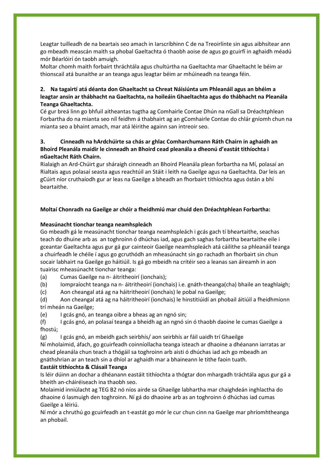Leagtar tuilleadh de na beartais seo amach in Iarscríbhinn C de na Treoirlínte sin agus aibhsítear ann go mbeadh meascán maith sa phobal Gaeltachta ó thaobh aoise de agus go gcuirfí in aghaidh méadú mór Béarlóirí ón taobh amuigh.

Moltar chomh maith forbairt thráchtála agus chultúrtha na Gaeltachta mar Ghaeltacht le béim ar thionscail atá bunaithe ar an teanga agus leagtar béim ar mhúineadh na teanga féin.

# **2. Na tagairtí atá déanta don Ghaeltacht sa Chreat Náisiúnta um Phleanáil agus an bhéim a leagtar ansin ar thábhacht na Gaeltachta, na hoileáin Ghaeltachta agus do thábhacht na Pleanála Teanga Ghaeltachta.**

Cé gur breá linn go bhfuil aitheantas tugtha ag Comhairle Contae Dhún na nGall sa Dréachtphlean Forbartha do na mianta seo níl feidhm á thabhairt ag an gComhairle Contae do chlár gníomh chun na mianta seo a bhaint amach, mar atá léirithe againn san intreoir seo.

# **3. Cinneadh na hArdchúirte sa chás ar ghlac Comharchumann Ráth Chairn in aghaidh an Bhoird Pleanála maidir le cinneadh an Bhoird cead pleanála a dheonú d'eastát tithíochta i nGaeltacht Ráth Chairn.**

Rialaigh an Ard-Chúirt gur sháraigh cinneadh an Bhoird Pleanála plean forbartha na Mí, polasaí an Rialtais agus polasaí seasta agus reachtúil an Stáit i leith na Gaeilge agus na Gaeltachta. Dar leis an gCúirt níor cruthaíodh gur ar leas na Gaeilge a bheadh an fhorbairt tithíochta agus óstán a bhí beartaithe.

# **Moltaí Chonradh na Gaeilge ar chóir a fheidhmiú mar chuid den Dréachtphlean Forbartha:**

# **Measúnacht tionchar teanga neamhspleách**

Go mbeadh gá le measúnacht tionchar teanga neamhspleách i gcás gach tí bheartaithe, seachas teach do dhuine arb as an toghroinn ó dhúchas iad, agus gach saghas forbartha beartaithe eile i gceantar Gaeltachta agus gur gá gur cainteoir Gaeilge neamhspleách atá cáilithe sa phleanáil teanga a chuirfeadh le chéile í agus go gcruthódh an mheasúnacht sin go rachadh an fhorbairt sin chun socair labhairt na Gaeilge go háitiúil. Is gá go mbeidh na critéir seo a leanas san áireamh in aon tuairisc mheasúnacht tionchar teanga:

(a) Cumas Gaeilge na n- áitritheoirí (ionchais);

(b) Iompraíocht teanga na n- áitritheoirí (ionchais) i.e. gnáth-theanga(cha) bhaile an teaghlaigh;

(c) Aon cheangal atá ag na háitritheoirí (ionchais) le pobal na Gaeilge;

(d) Aon cheangal atá ag na háitritheoirí (ionchais) le hinstitiúidí an phobail áitiúil a fheidhmíonn trí mheán na Gaeilge;

(e) I gcás gnó, an teanga oibre a bheas ag an ngnó sin;

(f) I gcás gnó, an polasaí teanga a bheidh ag an ngnó sin ó thaobh daoine le cumas Gaeilge a fhostú;

(g) I gcás gnó, an mbeidh gach seirbhís/ aon seirbhís ar fáil uaidh trí Ghaeilge

Ní mholaimid, áfach, go gcuirfeadh coinníollacha teanga isteach ar dhaoine a dhéanann iarratas ar chead pleanála chun teach a thógáil sa toghroinn arb aisti ó dhúchas iad ach go mbeadh an gnáthshrian ar an teach sin a dhíol ar aghaidh mar a bhaineann le tithe faoin tuath.

# **Eastáit tithíochta & Clásail Teanga**

Is léir dúinn an dochar a dhéanann eastáit tithíochta a thógtar don mhargadh tráchtála agus gur gá a bheith an-cháiréiseach ina thaobh seo.

Molaimid inniúlacht ag TEG B2 nó níos airde sa Ghaeilge labhartha mar chaighdeán inghlactha do dhaoine ó lasmuigh den toghroinn. Ní gá do dhaoine arb as an toghroinn ó dhúchas iad cumas Gaeilge a léiriú.

Ní mór a chruthú go gcuirfeadh an t-eastát go mór le cur chun cinn na Gaeilge mar phríomhtheanga an phobail.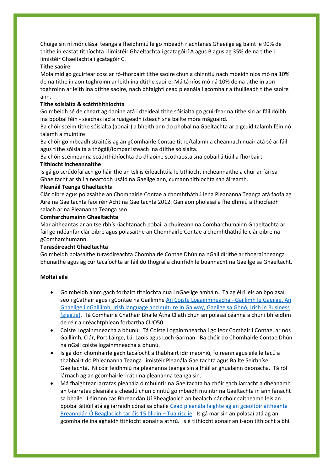Chuige sin ní mór clásal teanga a fheidhmiú le go mbeadh riachtanas Ghaeilge ag baint le 90% de thithe in eastát tithíochta i limistéir Ghaeltachta i gcatagóirí A agus B agus ag 35% de na tithe i limistéir Ghaeltachta i gcatagóir C.

## **Tithe saoire**

Molaimid go gcuirfear cosc ar ró-fhorbairt tithe saoire chun a chinntiú nach mbeidh níos mó ná 10% de na tithe in aon toghroinn ar leith ina dtithe saoire. Má tá níos mó ná 10% de na tithe in aon toghroinn ar leith ina dtithe saoire, nach bhfaighfí cead pleanála i gcomhair a thuilleadh tithe saoire ann.

## **Tithe sóisialta & scáththithíochta**

Go mbeidh sé de cheart ag daoine atá i dteideal tithe sóisialta go gcuirfear na tithe sin ar fáil dóibh ina bpobal féin - seachas iad a ruaigeadh isteach sna bailte móra máguaird.

Ba chóir scéim tithe sóisialta (aonair) a bheith ann do phobal na Gaeltachta ar a gcuid talamh féin nó talamh a muintire

Ba chóir go mbeadh straitéis ag an gComhairle Contae tithe/talamh a cheannach nuair atá sé ar fáil agus tithe sóisialta a thógáil/iompar isteach ina dtithe sóisialta.

Ba chóir scéimeanna scáththithíochta do dhaoine scothaosta sna pobail áitiúil a fhorbairt.

## **Tithíocht incheannaithe**

Is gá go scrúdófaí ach go háirithe an tslí is éifeachtúla le tithíocht incheannaithe a chur ar fáil sa Ghaeltacht ar shlí a neartódh úsáid na Gaeilge ann, cumann tithíochta san áireamh.

### **Pleanáil Teanga Ghaeltachta**

Clár oibre agus polasaithe an Chomhairle Contae a chomhtháthú lena Pleananna Teanga atá faofa ag Aire na Gaeltachta faoi réir Acht na Gaeltachta 2012. Gan aon pholasaí a fheidhmiú a thiocfaidh salach ar na Pleananna Teanga seo.

## **Comharchumainn Ghaeltachta**

Mar aitheantas ar an tseirbhís riachtanach pobail a chuireann na Comharchumainn Ghaeltachta ar fáil go ndéanfar clár oibre agus polasaithe an Chomhairle Contae a chomhtháthú le clár oibre na gComharchumann.

### **Turasóireacht Ghaeltachta**

Go mbeidh polasaithe turasóireachta Chomhairle Contae Dhún na nGall dírithe ar thograí theanga bhunaithe agus ag cur tacaíochta ar fáil do thograí a chuirfidh le buannacht na Gaeilge sa Ghaeltacht.

### **Moltaí eile**

- Go mbeidh ainm gach forbairt tithíochta nua i nGaeilge amháin. Tá ag éirí leis an bpolasaí seo i gCathair agus i gContae na Gaillimhe [An Coiste Logainmneacha -](https://gleg.ie/an-coiste-logainmneacha/) Gaillimh le Gaeilge, An [Ghaeilge i nGaillimh, Irish language and culture in Galway, Gaeilge sa Ghnó, Irish in Business](https://gleg.ie/an-coiste-logainmneacha/)  [\(gleg.ie\).](https://gleg.ie/an-coiste-logainmneacha/) Tá Comhairle Chathair Bhaile Átha Cliath chun an polasaí céanna a chur i bhfeidhm de réir a dréachtphlean forbartha CUO50
- Coiste Logainmneacha a bhunú. Tá Coiste Logainmneacha i go leor Comhairlí Contae, ar nós Gaillimh, Clár, Port Láirge, Lú, Laois agus Loch Garman. Ba chóir do Chomhairle Contae Dhún na nGall coiste logainmneacha a bhunú.
- Is gá don chomhairle gach tacaíocht a thabhairt idir maoiniú, foireann agus eile le tacú a thabhairt do Phleananna Teanga Limistéir Pleanála Gaeltachta agus Bailte Seirbhíse Gaeltachta. Ní cóir feidhmiú na pleananna teanga sin a fháil ar ghualainn deonacha. Tá ról lárnach ag an gcomhairle i ráth na pleananna teanga sin.
- Má fhaightear iarratas pleanála ó mhuintir na Gaeltachta ba chóir gach iarracht a dhéanamh an t-iarratas pleanála a cheadú chun cinntiú go mbeidh muintir na Gaeltachta in ann fanacht sa bhaile. Léiríonn cás Bhreandán Uí Bheaglaoich an bealach nár chóir caitheamh leis an bpobal áitiúil atá ag iarraidh cónaí sa bhaile [Cead pleanála faighte ag an gceoltóir aitheanta](https://tuairisc.ie/cead-pleanala-faighte-ag-an-gceoltoir-aitheanta-breanndan-o-beaglaoich-tar-eis-15-bliain/)  [Breanndán Ó Beaglaoich tar éis 15 bliain](https://tuairisc.ie/cead-pleanala-faighte-ag-an-gceoltoir-aitheanta-breanndan-o-beaglaoich-tar-eis-15-bliain/) – Tuairisc.ie. Is gá mar sin an polasaí atá ag an gcomhairle ina aghaidh tithíocht aonair a athrú. Is é tithíocht aonair an t-aon tithíocht a bhí